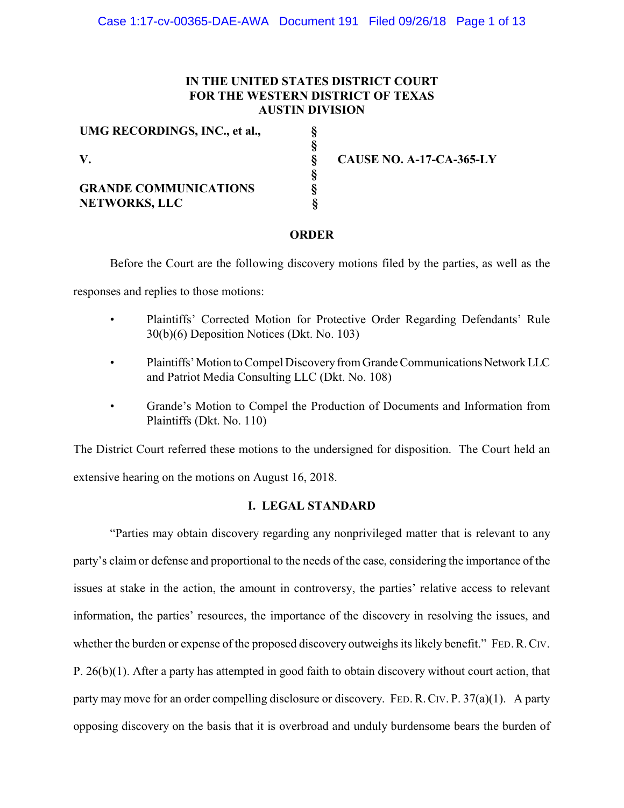# **IN THE UNITED STATES DISTRICT COURT FOR THE WESTERN DISTRICT OF TEXAS AUSTIN DIVISION**

**§ § § § § §**

| UMG RECORDINGS, INC., et al., |
|-------------------------------|
| $\mathbf{V}_{\mathbf{r}}$     |
| <b>GRANDE COMMUNICATIONS</b>  |
| <b>NETWORKS, LLC</b>          |

**CAUSE NO. A-17-CA-365-LY**

# **ORDER**

Before the Court are the following discovery motions filed by the parties, as well as the

responses and replies to those motions:

- Plaintiffs' Corrected Motion for Protective Order Regarding Defendants' Rule 30(b)(6) Deposition Notices (Dkt. No. 103)
- Plaintiffs' Motion to Compel Discovery from Grande Communications Network LLC and Patriot Media Consulting LLC (Dkt. No. 108)
- Grande's Motion to Compel the Production of Documents and Information from Plaintiffs (Dkt. No. 110)

The District Court referred these motions to the undersigned for disposition. The Court held an extensive hearing on the motions on August 16, 2018.

# **I. LEGAL STANDARD**

"Parties may obtain discovery regarding any nonprivileged matter that is relevant to any party's claim or defense and proportional to the needs of the case, considering the importance of the issues at stake in the action, the amount in controversy, the parties' relative access to relevant information, the parties' resources, the importance of the discovery in resolving the issues, and whether the burden or expense of the proposed discovery outweighs its likely benefit." FED. R. CIV. P. 26(b)(1). After a party has attempted in good faith to obtain discovery without court action, that party may move for an order compelling disclosure or discovery. FED.R.CIV. P. 37(a)(1). A party opposing discovery on the basis that it is overbroad and unduly burdensome bears the burden of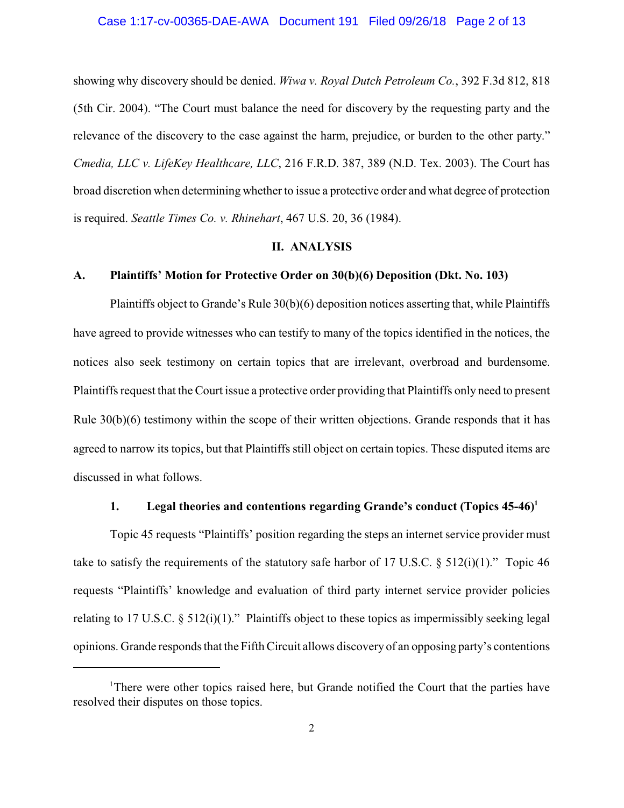#### Case 1:17-cv-00365-DAE-AWA Document 191 Filed 09/26/18 Page 2 of 13

showing why discovery should be denied. *Wiwa v. Royal Dutch Petroleum Co.*, 392 F.3d 812, 818 (5th Cir. 2004). "The Court must balance the need for discovery by the requesting party and the relevance of the discovery to the case against the harm, prejudice, or burden to the other party." *Cmedia, LLC v. LifeKey Healthcare, LLC*, 216 F.R.D. 387, 389 (N.D. Tex. 2003). The Court has broad discretion when determining whether to issue a protective order and what degree of protection is required. *Seattle Times Co. v. Rhinehart*, 467 U.S. 20, 36 (1984).

### **II. ANALYSIS**

### **A. Plaintiffs' Motion for Protective Order on 30(b)(6) Deposition (Dkt. No. 103)**

Plaintiffs object to Grande's Rule 30(b)(6) deposition notices asserting that, while Plaintiffs have agreed to provide witnesses who can testify to many of the topics identified in the notices, the notices also seek testimony on certain topics that are irrelevant, overbroad and burdensome. Plaintiffs request that the Court issue a protective order providing that Plaintiffs only need to present Rule 30(b)(6) testimony within the scope of their written objections. Grande responds that it has agreed to narrow its topics, but that Plaintiffs still object on certain topics. These disputed items are discussed in what follows.

### **1. Legal theories and contentions regarding Grande's conduct (Topics 45-46)<sup>1</sup>**

Topic 45 requests "Plaintiffs' position regarding the steps an internet service provider must take to satisfy the requirements of the statutory safe harbor of 17 U.S.C.  $\S$  512(i)(1)." Topic 46 requests "Plaintiffs' knowledge and evaluation of third party internet service provider policies relating to 17 U.S.C. § 512(i)(1)." Plaintiffs object to these topics as impermissibly seeking legal opinions. Grande responds that the Fifth Circuit allows discovery of an opposing party's contentions

<sup>&</sup>lt;sup>1</sup>There were other topics raised here, but Grande notified the Court that the parties have resolved their disputes on those topics.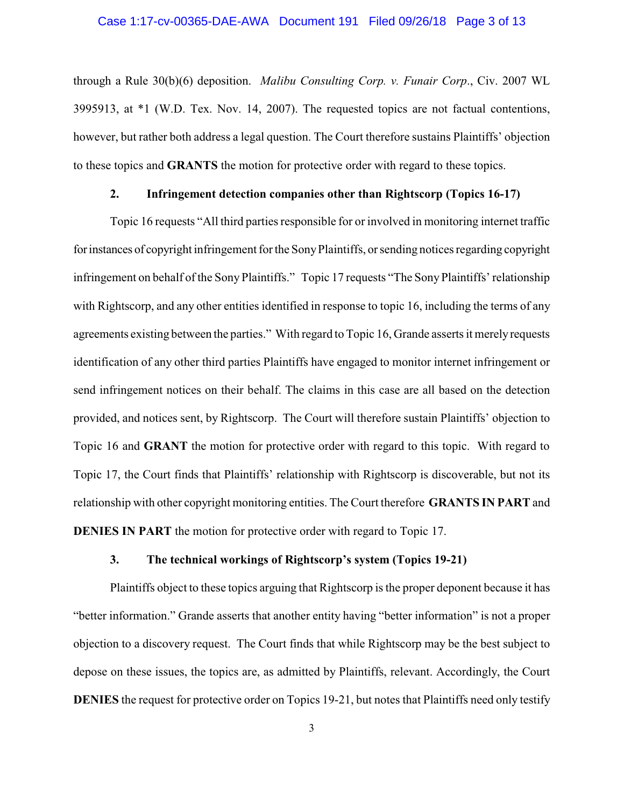#### Case 1:17-cv-00365-DAE-AWA Document 191 Filed 09/26/18 Page 3 of 13

through a Rule 30(b)(6) deposition. *Malibu Consulting Corp. v. Funair Corp*., Civ. 2007 WL 3995913, at \*1 (W.D. Tex. Nov. 14, 2007). The requested topics are not factual contentions, however, but rather both address a legal question. The Court therefore sustains Plaintiffs' objection to these topics and **GRANTS** the motion for protective order with regard to these topics.

# **2. Infringement detection companies other than Rightscorp (Topics 16-17)**

Topic 16 requests "All third parties responsible for or involved in monitoring internet traffic forinstances of copyright infringement for the SonyPlaintiffs, or sending notices regarding copyright infringement on behalf of the Sony Plaintiffs." Topic 17 requests "The SonyPlaintiffs' relationship with Rightscorp, and any other entities identified in response to topic 16, including the terms of any agreements existing between the parties." With regard to Topic 16, Grande asserts it merelyrequests identification of any other third parties Plaintiffs have engaged to monitor internet infringement or send infringement notices on their behalf. The claims in this case are all based on the detection provided, and notices sent, by Rightscorp. The Court will therefore sustain Plaintiffs' objection to Topic 16 and **GRANT** the motion for protective order with regard to this topic. With regard to Topic 17, the Court finds that Plaintiffs' relationship with Rightscorp is discoverable, but not its relationship with other copyright monitoring entities. The Court therefore **GRANTS IN PART** and **DENIES IN PART** the motion for protective order with regard to Topic 17.

## **3. The technical workings of Rightscorp's system (Topics 19-21)**

Plaintiffs object to these topics arguing that Rightscorp is the proper deponent because it has "better information." Grande asserts that another entity having "better information" is not a proper objection to a discovery request. The Court finds that while Rightscorp may be the best subject to depose on these issues, the topics are, as admitted by Plaintiffs, relevant. Accordingly, the Court **DENIES** the request for protective order on Topics 19-21, but notes that Plaintiffs need only testify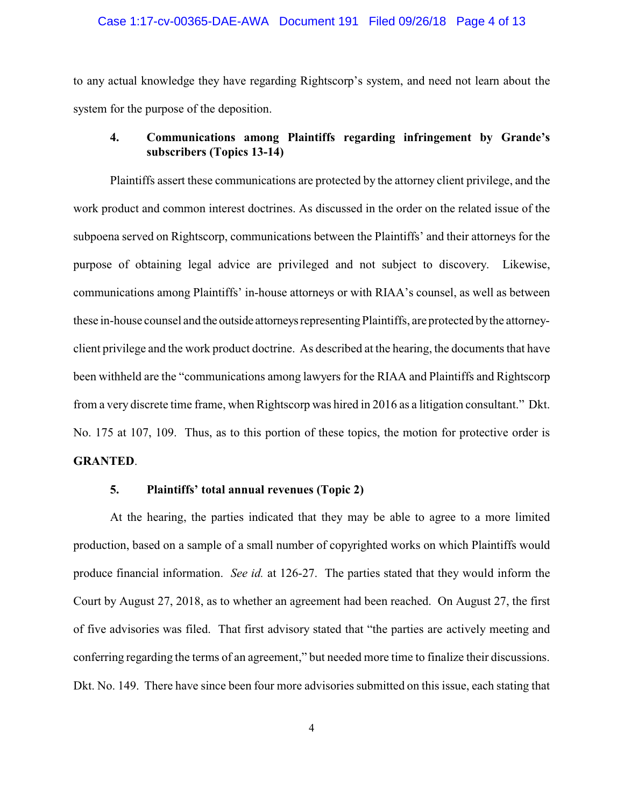#### Case 1:17-cv-00365-DAE-AWA Document 191 Filed 09/26/18 Page 4 of 13

to any actual knowledge they have regarding Rightscorp's system, and need not learn about the system for the purpose of the deposition.

## **4. Communications among Plaintiffs regarding infringement by Grande's subscribers (Topics 13-14)**

Plaintiffs assert these communications are protected by the attorney client privilege, and the work product and common interest doctrines. As discussed in the order on the related issue of the subpoena served on Rightscorp, communications between the Plaintiffs' and their attorneys for the purpose of obtaining legal advice are privileged and not subject to discovery. Likewise, communications among Plaintiffs' in-house attorneys or with RIAA's counsel, as well as between these in-house counsel and the outside attorneys representing Plaintiffs, are protected by the attorneyclient privilege and the work product doctrine. As described at the hearing, the documents that have been withheld are the "communications among lawyers for the RIAA and Plaintiffs and Rightscorp from a very discrete time frame, when Rightscorp was hired in 2016 as a litigation consultant." Dkt. No. 175 at 107, 109. Thus, as to this portion of these topics, the motion for protective order is **GRANTED**.

## **5. Plaintiffs' total annual revenues (Topic 2)**

At the hearing, the parties indicated that they may be able to agree to a more limited production, based on a sample of a small number of copyrighted works on which Plaintiffs would produce financial information. *See id.* at 126-27. The parties stated that they would inform the Court by August 27, 2018, as to whether an agreement had been reached. On August 27, the first of five advisories was filed. That first advisory stated that "the parties are actively meeting and conferring regarding the terms of an agreement," but needed more time to finalize their discussions. Dkt. No. 149. There have since been four more advisories submitted on this issue, each stating that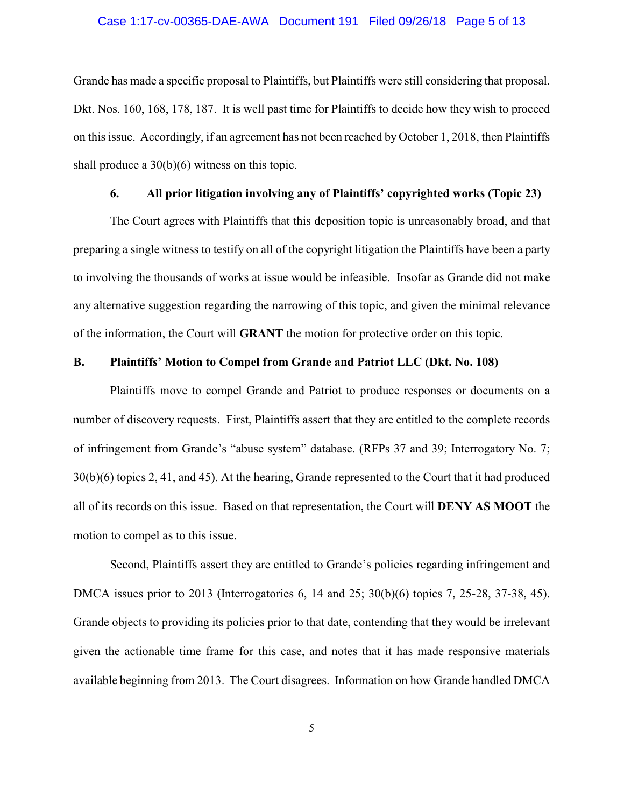#### Case 1:17-cv-00365-DAE-AWA Document 191 Filed 09/26/18 Page 5 of 13

Grande has made a specific proposal to Plaintiffs, but Plaintiffs were still considering that proposal. Dkt. Nos. 160, 168, 178, 187. It is well past time for Plaintiffs to decide how they wish to proceed on this issue. Accordingly, if an agreement has not been reached by October 1, 2018, then Plaintiffs shall produce a 30(b)(6) witness on this topic.

## **6. All prior litigation involving any of Plaintiffs' copyrighted works (Topic 23)**

The Court agrees with Plaintiffs that this deposition topic is unreasonably broad, and that preparing a single witness to testify on all of the copyright litigation the Plaintiffs have been a party to involving the thousands of works at issue would be infeasible. Insofar as Grande did not make any alternative suggestion regarding the narrowing of this topic, and given the minimal relevance of the information, the Court will **GRANT** the motion for protective order on this topic.

### **B. Plaintiffs' Motion to Compel from Grande and Patriot LLC (Dkt. No. 108)**

Plaintiffs move to compel Grande and Patriot to produce responses or documents on a number of discovery requests. First, Plaintiffs assert that they are entitled to the complete records of infringement from Grande's "abuse system" database. (RFPs 37 and 39; Interrogatory No. 7; 30(b)(6) topics 2, 41, and 45). At the hearing, Grande represented to the Court that it had produced all of its records on this issue. Based on that representation, the Court will **DENY AS MOOT** the motion to compel as to this issue.

Second, Plaintiffs assert they are entitled to Grande's policies regarding infringement and DMCA issues prior to 2013 (Interrogatories 6, 14 and 25; 30(b)(6) topics 7, 25-28, 37-38, 45). Grande objects to providing its policies prior to that date, contending that they would be irrelevant given the actionable time frame for this case, and notes that it has made responsive materials available beginning from 2013. The Court disagrees. Information on how Grande handled DMCA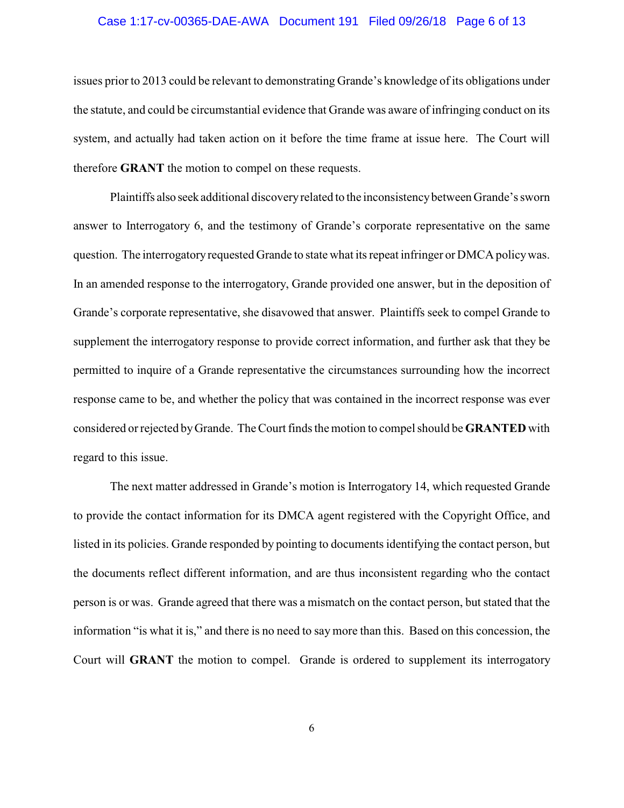#### Case 1:17-cv-00365-DAE-AWA Document 191 Filed 09/26/18 Page 6 of 13

issues prior to 2013 could be relevant to demonstrating Grande's knowledge of its obligations under the statute, and could be circumstantial evidence that Grande was aware of infringing conduct on its system, and actually had taken action on it before the time frame at issue here. The Court will therefore **GRANT** the motion to compel on these requests.

Plaintiffs also seek additional discoveryrelated to the inconsistencybetween Grande's sworn answer to Interrogatory 6, and the testimony of Grande's corporate representative on the same question. The interrogatory requested Grande to state what its repeat infringer or DMCA policywas. In an amended response to the interrogatory, Grande provided one answer, but in the deposition of Grande's corporate representative, she disavowed that answer. Plaintiffs seek to compel Grande to supplement the interrogatory response to provide correct information, and further ask that they be permitted to inquire of a Grande representative the circumstances surrounding how the incorrect response came to be, and whether the policy that was contained in the incorrect response was ever considered or rejected byGrande. The Court finds the motion to compel should be **GRANTED** with regard to this issue.

The next matter addressed in Grande's motion is Interrogatory 14, which requested Grande to provide the contact information for its DMCA agent registered with the Copyright Office, and listed in its policies. Grande responded by pointing to documents identifying the contact person, but the documents reflect different information, and are thus inconsistent regarding who the contact person is or was. Grande agreed that there was a mismatch on the contact person, but stated that the information "is what it is," and there is no need to say more than this. Based on this concession, the Court will **GRANT** the motion to compel. Grande is ordered to supplement its interrogatory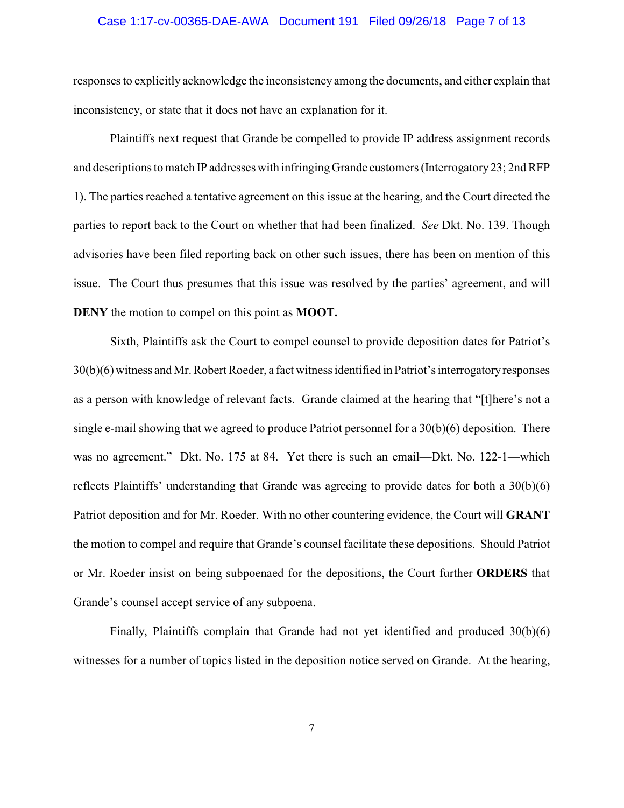#### Case 1:17-cv-00365-DAE-AWA Document 191 Filed 09/26/18 Page 7 of 13

responses to explicitly acknowledge the inconsistency among the documents, and either explain that inconsistency, or state that it does not have an explanation for it.

Plaintiffs next request that Grande be compelled to provide IP address assignment records and descriptions to match IP addresses with infringing Grande customers (Interrogatory 23; 2nd RFP 1). The parties reached a tentative agreement on this issue at the hearing, and the Court directed the parties to report back to the Court on whether that had been finalized. *See* Dkt. No. 139. Though advisories have been filed reporting back on other such issues, there has been on mention of this issue. The Court thus presumes that this issue was resolved by the parties' agreement, and will **DENY** the motion to compel on this point as **MOOT.**

Sixth, Plaintiffs ask the Court to compel counsel to provide deposition dates for Patriot's 30(b)(6) witness and Mr. Robert Roeder, a fact witness identified in Patriot's interrogatoryresponses as a person with knowledge of relevant facts. Grande claimed at the hearing that "[t]here's not a single e-mail showing that we agreed to produce Patriot personnel for a 30(b)(6) deposition. There was no agreement." Dkt. No. 175 at 84. Yet there is such an email—Dkt. No. 122-1—which reflects Plaintiffs' understanding that Grande was agreeing to provide dates for both a 30(b)(6) Patriot deposition and for Mr. Roeder. With no other countering evidence, the Court will **GRANT** the motion to compel and require that Grande's counsel facilitate these depositions. Should Patriot or Mr. Roeder insist on being subpoenaed for the depositions, the Court further **ORDERS** that Grande's counsel accept service of any subpoena.

Finally, Plaintiffs complain that Grande had not yet identified and produced 30(b)(6) witnesses for a number of topics listed in the deposition notice served on Grande. At the hearing,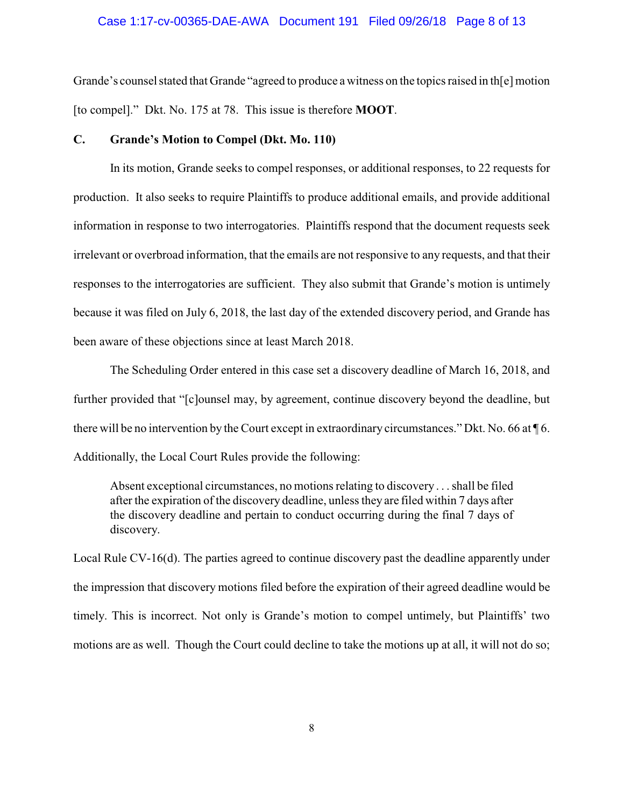#### Case 1:17-cv-00365-DAE-AWA Document 191 Filed 09/26/18 Page 8 of 13

Grande's counsel stated that Grande "agreed to produce a witness on the topics raised in th[e] motion [to compel]." Dkt. No. 175 at 78. This issue is therefore **MOOT**.

### **C. Grande's Motion to Compel (Dkt. Mo. 110)**

In its motion, Grande seeks to compel responses, or additional responses, to 22 requests for production. It also seeks to require Plaintiffs to produce additional emails, and provide additional information in response to two interrogatories. Plaintiffs respond that the document requests seek irrelevant or overbroad information, that the emails are not responsive to any requests, and that their responses to the interrogatories are sufficient. They also submit that Grande's motion is untimely because it was filed on July 6, 2018, the last day of the extended discovery period, and Grande has been aware of these objections since at least March 2018.

The Scheduling Order entered in this case set a discovery deadline of March 16, 2018, and further provided that "[c]ounsel may, by agreement, continue discovery beyond the deadline, but there will be no intervention by the Court except in extraordinary circumstances." Dkt. No. 66 at ¶ 6. Additionally, the Local Court Rules provide the following:

Absent exceptional circumstances, no motions relating to discovery . . . shall be filed after the expiration of the discovery deadline, unless they are filed within 7 days after the discovery deadline and pertain to conduct occurring during the final 7 days of discovery.

Local Rule CV-16(d). The parties agreed to continue discovery past the deadline apparently under the impression that discovery motions filed before the expiration of their agreed deadline would be timely. This is incorrect. Not only is Grande's motion to compel untimely, but Plaintiffs' two motions are as well. Though the Court could decline to take the motions up at all, it will not do so;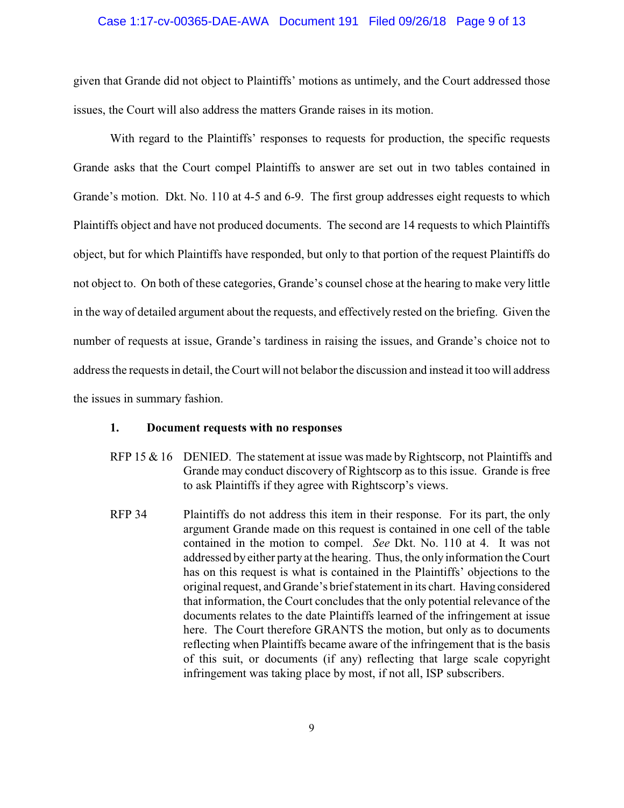#### Case 1:17-cv-00365-DAE-AWA Document 191 Filed 09/26/18 Page 9 of 13

given that Grande did not object to Plaintiffs' motions as untimely, and the Court addressed those issues, the Court will also address the matters Grande raises in its motion.

With regard to the Plaintiffs' responses to requests for production, the specific requests Grande asks that the Court compel Plaintiffs to answer are set out in two tables contained in Grande's motion. Dkt. No. 110 at 4-5 and 6-9. The first group addresses eight requests to which Plaintiffs object and have not produced documents. The second are 14 requests to which Plaintiffs object, but for which Plaintiffs have responded, but only to that portion of the request Plaintiffs do not object to. On both of these categories, Grande's counsel chose at the hearing to make very little in the way of detailed argument about the requests, and effectively rested on the briefing. Given the number of requests at issue, Grande's tardiness in raising the issues, and Grande's choice not to address the requests in detail, the Court will not belaborthe discussion and instead it too will address the issues in summary fashion.

## **1. Document requests with no responses**

- RFP 15  $\&$  16 DENIED. The statement at issue was made by Rightscorp, not Plaintiffs and Grande may conduct discovery of Rightscorp as to this issue. Grande is free to ask Plaintiffs if they agree with Rightscorp's views.
- RFP 34 Plaintiffs do not address this item in their response. For its part, the only argument Grande made on this request is contained in one cell of the table contained in the motion to compel. *See* Dkt. No. 110 at 4. It was not addressed by either party at the hearing. Thus, the only information the Court has on this request is what is contained in the Plaintiffs' objections to the original request, and Grande's brief statement in its chart. Having considered that information, the Court concludes that the only potential relevance of the documents relates to the date Plaintiffs learned of the infringement at issue here. The Court therefore GRANTS the motion, but only as to documents reflecting when Plaintiffs became aware of the infringement that is the basis of this suit, or documents (if any) reflecting that large scale copyright infringement was taking place by most, if not all, ISP subscribers.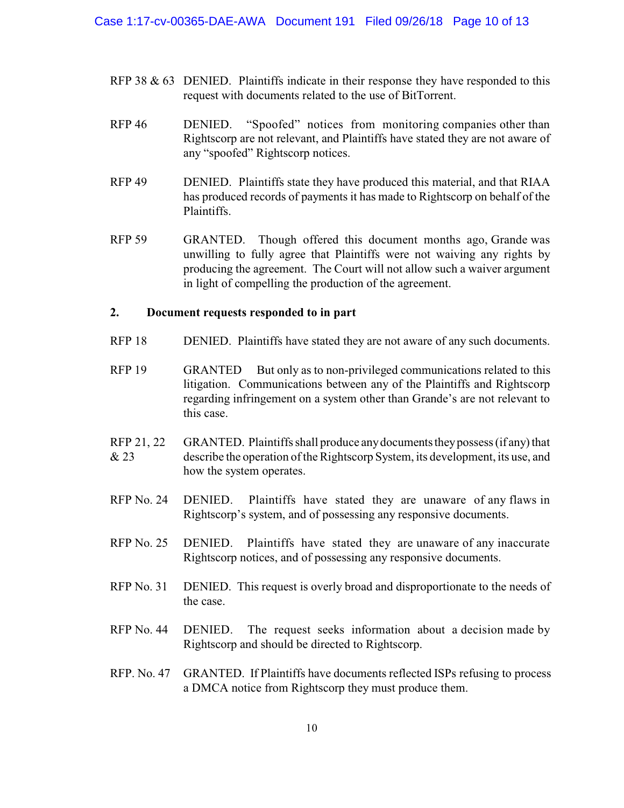- RFP 38  $\&$  63 DENIED. Plaintiffs indicate in their response they have responded to this request with documents related to the use of BitTorrent.
- RFP 46 DENIED. "Spoofed" notices from monitoring companies other than Rightscorp are not relevant, and Plaintiffs have stated they are not aware of any "spoofed" Rightscorp notices.
- RFP 49 DENIED. Plaintiffs state they have produced this material, and that RIAA has produced records of payments it has made to Rightscorp on behalf of the Plaintiffs.
- RFP 59 GRANTED. Though offered this document months ago, Grande was unwilling to fully agree that Plaintiffs were not waiving any rights by producing the agreement. The Court will not allow such a waiver argument in light of compelling the production of the agreement.

## **2. Document requests responded to in part**

- RFP 18 DENIED. Plaintiffs have stated they are not aware of any such documents.
- RFP 19 GRANTED But only as to non-privileged communications related to this litigation. Communications between any of the Plaintiffs and Rightscorp regarding infringement on a system other than Grande's are not relevant to this case.
- RFP 21, 22 & 23 GRANTED. Plaintiffs shall produce anydocumentstheypossess (if any) that describe the operation of the Rightscorp System, its development, its use, and how the system operates.
- RFP No. 24 DENIED. Plaintiffs have stated they are unaware of any flaws in Rightscorp's system, and of possessing any responsive documents.
- RFP No. 25 DENIED. Plaintiffs have stated they are unaware of any inaccurate Rightscorp notices, and of possessing any responsive documents.
- RFP No. 31 DENIED. This request is overly broad and disproportionate to the needs of the case.
- RFP No. 44 DENIED. The request seeks information about a decision made by Rightscorp and should be directed to Rightscorp.
- RFP. No. 47 GRANTED. If Plaintiffs have documents reflected ISPs refusing to process a DMCA notice from Rightscorp they must produce them.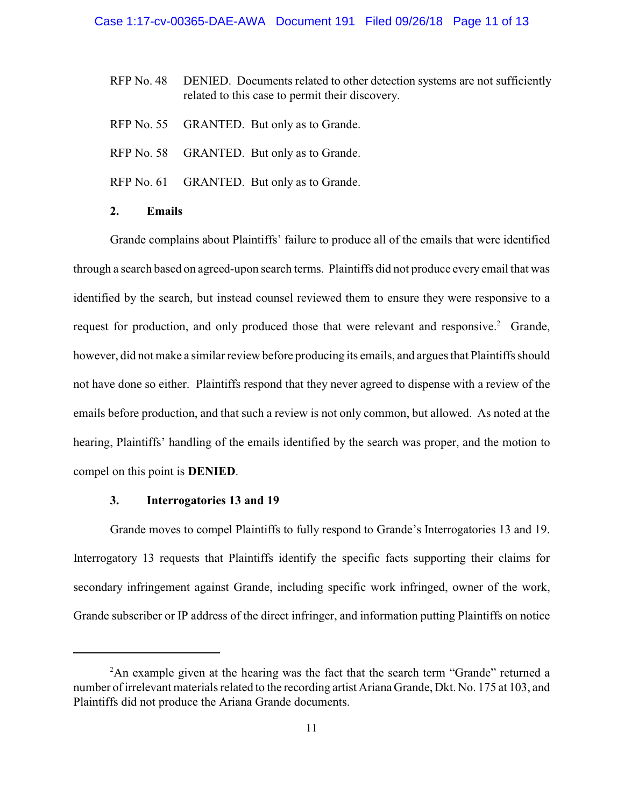- RFP No. 48 DENIED. Documents related to other detection systems are not sufficiently related to this case to permit their discovery.
- RFP No. 55 GRANTED. But only as to Grande.
- RFP No. 58 GRANTED. But only as to Grande.
- RFP No. 61 GRANTED. But only as to Grande.
- **2. Emails**

Grande complains about Plaintiffs' failure to produce all of the emails that were identified through a search based on agreed-upon search terms. Plaintiffs did not produce every email that was identified by the search, but instead counsel reviewed them to ensure they were responsive to a request for production, and only produced those that were relevant and responsive.<sup>2</sup> Grande, however, did not make a similar review before producing its emails, and argues that Plaintiffs should not have done so either. Plaintiffs respond that they never agreed to dispense with a review of the emails before production, and that such a review is not only common, but allowed. As noted at the hearing, Plaintiffs' handling of the emails identified by the search was proper, and the motion to compel on this point is **DENIED**.

## **3. Interrogatories 13 and 19**

Grande moves to compel Plaintiffs to fully respond to Grande's Interrogatories 13 and 19. Interrogatory 13 requests that Plaintiffs identify the specific facts supporting their claims for secondary infringement against Grande, including specific work infringed, owner of the work, Grande subscriber or IP address of the direct infringer, and information putting Plaintiffs on notice

 $2$ An example given at the hearing was the fact that the search term "Grande" returned a number of irrelevant materials related to the recording artist Ariana Grande, Dkt. No. 175 at 103, and Plaintiffs did not produce the Ariana Grande documents.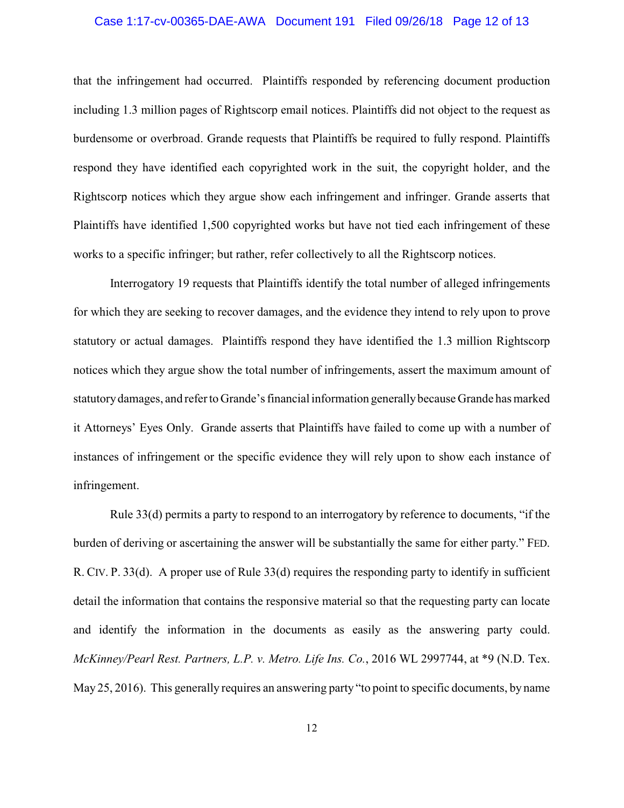# Case 1:17-cv-00365-DAE-AWA Document 191 Filed 09/26/18 Page 12 of 13

that the infringement had occurred. Plaintiffs responded by referencing document production including 1.3 million pages of Rightscorp email notices. Plaintiffs did not object to the request as burdensome or overbroad. Grande requests that Plaintiffs be required to fully respond. Plaintiffs respond they have identified each copyrighted work in the suit, the copyright holder, and the Rightscorp notices which they argue show each infringement and infringer. Grande asserts that Plaintiffs have identified 1,500 copyrighted works but have not tied each infringement of these works to a specific infringer; but rather, refer collectively to all the Rightscorp notices.

Interrogatory 19 requests that Plaintiffs identify the total number of alleged infringements for which they are seeking to recover damages, and the evidence they intend to rely upon to prove statutory or actual damages. Plaintiffs respond they have identified the 1.3 million Rightscorp notices which they argue show the total number of infringements, assert the maximum amount of statutorydamages, and refer to Grande's financial information generallybecause Grande has marked it Attorneys' Eyes Only. Grande asserts that Plaintiffs have failed to come up with a number of instances of infringement or the specific evidence they will rely upon to show each instance of infringement.

Rule 33(d) permits a party to respond to an interrogatory by reference to documents, "if the burden of deriving or ascertaining the answer will be substantially the same for either party." FED. R. CIV. P. 33(d). A proper use of Rule 33(d) requires the responding party to identify in sufficient detail the information that contains the responsive material so that the requesting party can locate and identify the information in the documents as easily as the answering party could. *McKinney/Pearl Rest. Partners, L.P. v. Metro. Life Ins. Co.*, 2016 WL 2997744, at \*9 (N.D. Tex. May 25, 2016). This generally requires an answering party "to point to specific documents, by name